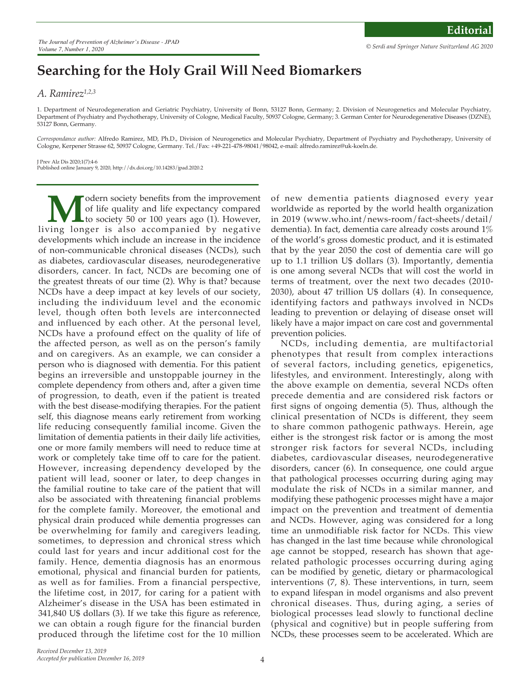## **Searching for the Holy Grail Will Need Biomarkers**

## *A. Ramirez1,2,3*

1. Department of Neurodegeneration and Geriatric Psychiatry, University of Bonn, 53127 Bonn, Germany; 2. Division of Neurogenetics and Molecular Psychiatry, Department of Psychiatry and Psychotherapy, University of Cologne, Medical Faculty, 50937 Cologne, Germany; 3. German Center for Neurodegenerative Diseases (DZNE), 53127 Bonn, Germany.

*Correspondance author:* Alfredo Ramirez, MD, Ph.D., Division of Neurogenetics and Molecular Psychiatry, Department of Psychiatry and Psychotherapy, University of Cologne, Kerpener Strasse 62, 50937 Cologne, Germany. Tel./Fax: +49-221-478-98041/98042, e-mail: alfredo.ramirez@uk-koeln.de.

J Prev Alz Dis 2020;1(7):4-6 Published online January 9, 2020, http://dx.doi.org/10.14283/jpad.2020.2

**M** odern society benefits from the improvement<br>of life quality and life expectancy compared<br>to society 50 or 100 years ago (1). However,<br>ving longer is also accompanied by negative of life quality and life expectancy compared to society 50 or 100 years ago (1). However, living longer is also accompanied by negative developments which include an increase in the incidence of non-communicable chronical diseases (NCDs), such as diabetes, cardiovascular diseases, neurodegenerative disorders, cancer. In fact, NCDs are becoming one of the greatest threats of our time (2). Why is that? because NCDs have a deep impact at key levels of our society, including the individuum level and the economic level, though often both levels are interconnected and influenced by each other. At the personal level, NCDs have a profound effect on the quality of life of the affected person, as well as on the person's family and on caregivers. As an example, we can consider a person who is diagnosed with dementia. For this patient begins an irreversible and unstoppable journey in the complete dependency from others and, after a given time of progression, to death, even if the patient is treated with the best disease-modifying therapies. For the patient self, this diagnose means early retirement from working life reducing consequently familial income. Given the limitation of dementia patients in their daily life activities, one or more family members will need to reduce time at work or completely take time off to care for the patient. However, increasing dependency developed by the patient will lead, sooner or later, to deep changes in the familial routine to take care of the patient that will also be associated with threatening financial problems for the complete family. Moreover, the emotional and physical drain produced while dementia progresses can be overwhelming for family and caregivers leading, sometimes, to depression and chronical stress which could last for years and incur additional cost for the family. Hence, dementia diagnosis has an enormous emotional, physical and financial burden for patients, as well as for families. From a financial perspective, the lifetime cost, in 2017, for caring for a patient with Alzheimer's disease in the USA has been estimated in 341,840 U\$ dollars (3). If we take this figure as reference, we can obtain a rough figure for the financial burden produced through the lifetime cost for the 10 million

of new dementia patients diagnosed every year worldwide as reported by the world health organization in 2019 (www.who.int/news-room/fact-sheets/detail/ dementia). In fact, dementia care already costs around 1% of the world's gross domestic product, and it is estimated that by the year 2050 the cost of dementia care will go up to 1.1 trillion U\$ dollars (3). Importantly, dementia is one among several NCDs that will cost the world in terms of treatment, over the next two decades (2010- 2030), about 47 trillion U\$ dollars (4). In consequence, identifying factors and pathways involved in NCDs leading to prevention or delaying of disease onset will likely have a major impact on care cost and governmental prevention policies.

NCDs, including dementia, are multifactorial phenotypes that result from complex interactions of several factors, including genetics, epigenetics, lifestyles, and environment. Interestingly, along with the above example on dementia, several NCDs often precede dementia and are considered risk factors or first signs of ongoing dementia (5). Thus, although the clinical presentation of NCDs is different, they seem to share common pathogenic pathways. Herein, age either is the strongest risk factor or is among the most stronger risk factors for several NCDs, including diabetes, cardiovascular diseases, neurodegenerative disorders, cancer (6). In consequence, one could argue that pathological processes occurring during aging may modulate the risk of NCDs in a similar manner, and modifying these pathogenic processes might have a major impact on the prevention and treatment of dementia and NCDs. However, aging was considered for a long time an unmodifiable risk factor for NCDs. This view has changed in the last time because while chronological age cannot be stopped, research has shown that agerelated pathologic processes occurring during aging can be modified by genetic, dietary or pharmacological interventions (7, 8). These interventions, in turn, seem to expand lifespan in model organisms and also prevent chronical diseases. Thus, during aging, a series of biological processes lead slowly to functional decline (physical and cognitive) but in people suffering from NCDs, these processes seem to be accelerated. Which are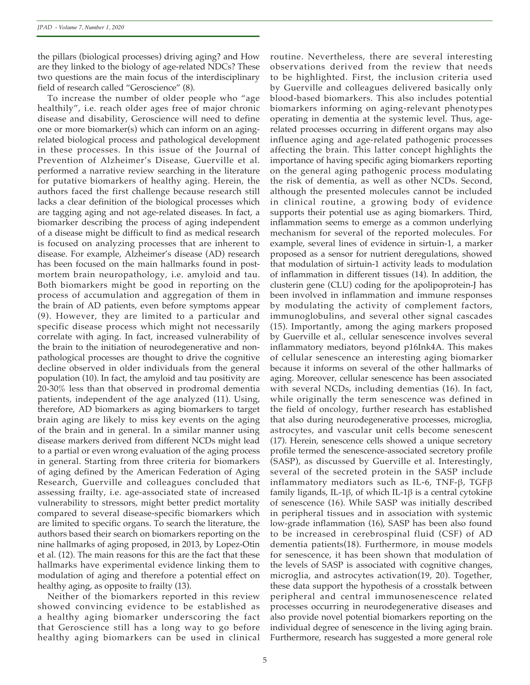the pillars (biological processes) driving aging? and How are they linked to the biology of age-related NDCs? These two questions are the main focus of the interdisciplinary field of research called "Geroscience" (8).

To increase the number of older people who "age healthily", i.e. reach older ages free of major chronic disease and disability, Geroscience will need to define one or more biomarker(s) which can inform on an agingrelated biological process and pathological development in these processes. In this issue of the Journal of Prevention of Alzheimer's Disease, Guerville et al. performed a narrative review searching in the literature for putative biomarkers of healthy aging. Herein, the authors faced the first challenge because research still lacks a clear definition of the biological processes which are tagging aging and not age-related diseases. In fact, a biomarker describing the process of aging independent of a disease might be difficult to find as medical research is focused on analyzing processes that are inherent to disease. For example, Alzheimer's disease (AD) research has been focused on the main hallmarks found in postmortem brain neuropathology, i.e. amyloid and tau. Both biomarkers might be good in reporting on the process of accumulation and aggregation of them in the brain of AD patients, even before symptoms appear (9). However, they are limited to a particular and specific disease process which might not necessarily correlate with aging. In fact, increased vulnerability of the brain to the initiation of neurodegenerative and nonpathological processes are thought to drive the cognitive decline observed in older individuals from the general population (10). In fact, the amyloid and tau positivity are 20-30% less than that observed in prodromal dementia patients, independent of the age analyzed (11). Using, therefore, AD biomarkers as aging biomarkers to target brain aging are likely to miss key events on the aging of the brain and in general. In a similar manner using disease markers derived from different NCDs might lead to a partial or even wrong evaluation of the aging process in general. Starting from three criteria for biomarkers of aging defined by the American Federation of Aging Research, Guerville and colleagues concluded that assessing frailty, i.e. age-associated state of increased vulnerability to stressors, might better predict mortality compared to several disease-specific biomarkers which are limited to specific organs. To search the literature, the authors based their search on biomarkers reporting on the nine hallmarks of aging proposed, in 2013, by Lopez-Otin et al. (12). The main reasons for this are the fact that these hallmarks have experimental evidence linking them to modulation of aging and therefore a potential effect on healthy aging, as opposite to frailty (13).

Neither of the biomarkers reported in this review showed convincing evidence to be established as a healthy aging biomarker underscoring the fact that Geroscience still has a long way to go before healthy aging biomarkers can be used in clinical

routine. Nevertheless, there are several interesting observations derived from the review that needs to be highlighted. First, the inclusion criteria used by Guerville and colleagues delivered basically only blood-based biomarkers. This also includes potential biomarkers informing on aging-relevant phenotypes operating in dementia at the systemic level. Thus, agerelated processes occurring in different organs may also influence aging and age-related pathogenic processes affecting the brain. This latter concept highlights the importance of having specific aging biomarkers reporting on the general aging pathogenic process modulating the risk of dementia, as well as other NCDs. Second, although the presented molecules cannot be included in clinical routine, a growing body of evidence supports their potential use as aging biomarkers. Third, inflammation seems to emerge as a common underlying mechanism for several of the reported molecules. For example, several lines of evidence in sirtuin-1, a marker proposed as a sensor for nutrient deregulations, showed that modulation of sirtuin-1 activity leads to modulation of inflammation in different tissues (14). In addition, the clusterin gene (CLU) coding for the apolipoprotein-J has been involved in inflammation and immune responses by modulating the activity of complement factors, immunoglobulins, and several other signal cascades (15). Importantly, among the aging markers proposed by Guerville et al., cellular senescence involves several inflammatory mediators, beyond p16Ink4A. This makes of cellular senescence an interesting aging biomarker because it informs on several of the other hallmarks of aging. Moreover, cellular senescence has been associated with several NCDs, including dementias (16). In fact, while originally the term senescence was defined in the field of oncology, further research has established that also during neurodegenerative processes, microglia, astrocytes, and vascular unit cells become senescent (17). Herein, senescence cells showed a unique secretory profile termed the senescence-associated secretory profile (SASP), as discussed by Guerville et al. Interestingly, several of the secreted protein in the SASP include inflammatory mediators such as IL-6, TNF-β, TGFβ family ligands, IL-1β, of which IL-1β is a central cytokine of senescence (16). While SASP was initially described in peripheral tissues and in association with systemic low-grade inflammation (16), SASP has been also found to be increased in cerebrospinal fluid (CSF) of AD dementia patients(18). Furthermore, in mouse models for senescence, it has been shown that modulation of the levels of SASP is associated with cognitive changes, microglia, and astrocytes activation(19, 20). Together, these data support the hypothesis of a crosstalk between peripheral and central immunosenescence related processes occurring in neurodegenerative diseases and also provide novel potential biomarkers reporting on the individual degree of senescence in the living aging brain. Furthermore, research has suggested a more general role